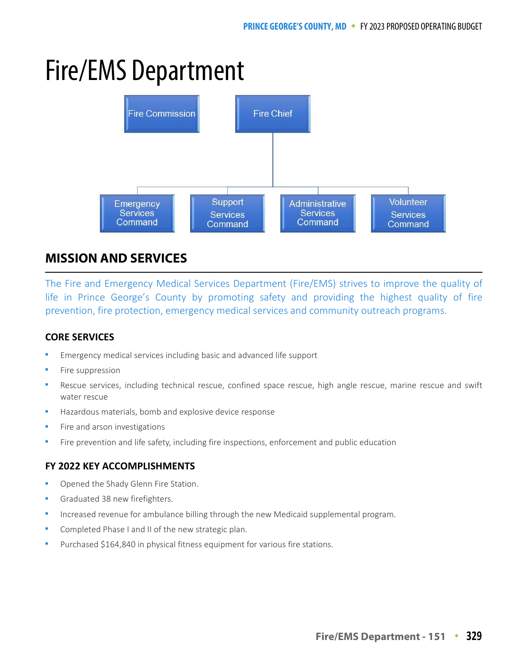# Fire/EMS Department



# **MISSION AND SERVICES**

The Fire and Emergency Medical Services Department (Fire/EMS) strives to improve the quality of life in Prince George's County by promoting safety and providing the highest quality of fire prevention, fire protection, emergency medical services and community outreach programs.

## **CORE SERVICES**

- Emergency medical services including basic and advanced life support
- Fire suppression
- Rescue services, including technical rescue, confined space rescue, high angle rescue, marine rescue and swift water rescue
- Hazardous materials, bomb and explosive device response
- Fire and arson investigations
- Fire prevention and life safety, including fire inspections, enforcement and public education

#### **FY 2022 KEY ACCOMPLISHMENTS**

- Opened the Shady Glenn Fire Station.
- Graduated 38 new firefighters.
- Increased revenue for ambulance billing through the new Medicaid supplemental program.
- Completed Phase I and II of the new strategic plan.
- Purchased \$164,840 in physical fitness equipment for various fire stations.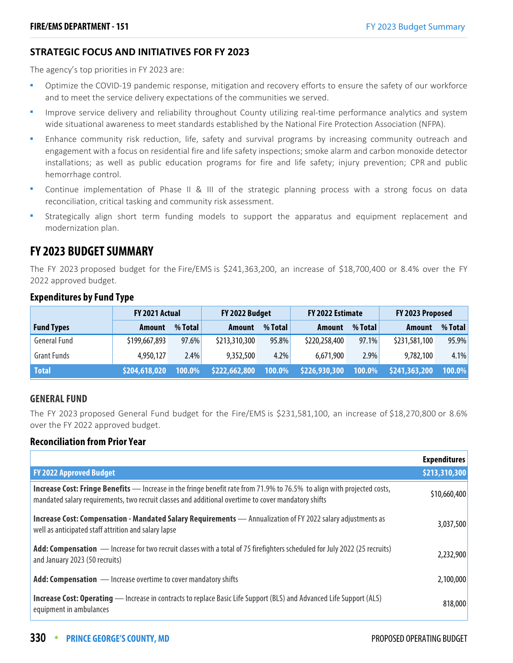#### **STRATEGIC FOCUS AND INITIATIVES FOR FY 2023**

The agency's top priorities in FY 2023 are:

- Optimize the COVID-19 pandemic response, mitigation and recovery efforts to ensure the safety of our workforce and to meet the service delivery expectations of the communities we served.
- Improve service delivery and reliability throughout County utilizing real-time performance analytics and system wide situational awareness to meet standards established by the National Fire Protection Association (NFPA).
- Enhance community risk reduction, life, safety and survival programs by increasing community outreach and engagement with a focus on residential fire and life safety inspections; smoke alarm and carbon monoxide detector installations; as well as public education programs for fire and life safety; injury prevention; CPR and public hemorrhage control.
- Continue implementation of Phase II & III of the strategic planning process with a strong focus on data reconciliation, critical tasking and community risk assessment.
- Strategically align short term funding models to support the apparatus and equipment replacement and modernization plan.

# **FY 2023 BUDGET SUMMARY**

The FY 2023 proposed budget for the Fire/EMS is \$241,363,200, an increase of \$18,700,400 or 8.4% over the FY 2022 approved budget.

|                     | FY 2021 Actual |          | FY 2022 Budget |           | FY 2022 Estimate |           | FY 2023 Proposed |         |
|---------------------|----------------|----------|----------------|-----------|------------------|-----------|------------------|---------|
| <b>Fund Types</b>   | Amount         | % Total  | Amount         | $%$ Total | Amount           | % Total   | Amount           | % Total |
| <b>General Fund</b> | \$199,667,893  | $97.6\%$ | \$213,310,300  | 95.8%     | \$220,258,400    | 97.1%     | \$231,581,100    | 95.9%   |
| <b>Grant Funds</b>  | 4,950,127      | $2.4\%$  | 9,352,500      | 4.2%      | 6,671,900        | 2.9%      | 9,782,100        | 4.1%    |
| <b>Total</b>        | \$204,618,020  | 100.0%   | \$222,662,800  | 100.0%    | \$226,930,300    | $100.0\%$ | \$241,363,200    | 100.0%  |

## **Expenditures by Fund Type**

#### **GENERAL FUND**

The FY 2023 proposed General Fund budget for the Fire/EMS is \$231,581,100, an increase of \$18,270,800 or 8.6% over the FY 2022 approved budget.

#### **Reconciliation from Prior Year**

|                                                                                                                                                                                                                                | <b>Expenditures</b> |
|--------------------------------------------------------------------------------------------------------------------------------------------------------------------------------------------------------------------------------|---------------------|
| <b>FY 2022 Approved Budget</b>                                                                                                                                                                                                 | \$213,310,300       |
| Increase Cost: Fringe Benefits - Increase in the fringe benefit rate from 71.9% to 76.5% to align with projected costs,<br>mandated salary requirements, two recruit classes and additional overtime to cover mandatory shifts | \$10,660,400        |
| Increase Cost: Compensation - Mandated Salary Requirements - Annualization of FY 2022 salary adjustments as<br>well as anticipated staff attrition and salary lapse                                                            | 3,037,500           |
| Add: Compensation - Increase for two recruit classes with a total of 75 firefighters scheduled for July 2022 (25 recruits)<br>and January 2023 (50 recruits)                                                                   | 2,232,900           |
| <b>Add: Compensation</b> — Increase overtime to cover mandatory shifts                                                                                                                                                         | 2,100,000           |
| <b>Increase Cost: Operating</b> — Increase in contracts to replace Basic Life Support (BLS) and Advanced Life Support (ALS)<br>equipment in ambulances                                                                         | 818,000             |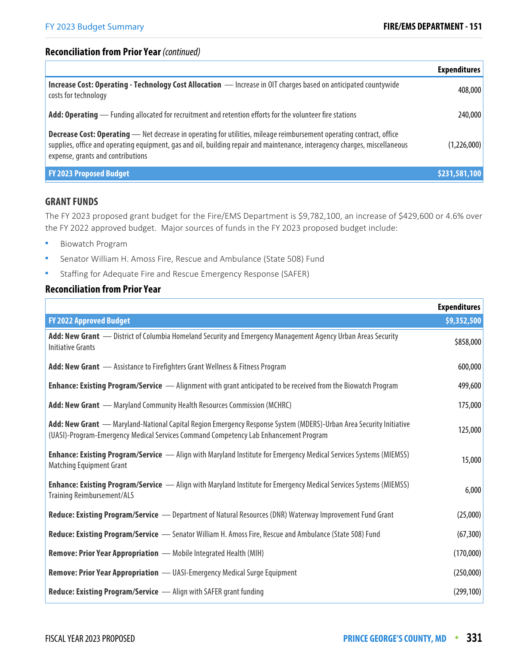#### **Reconciliation from Prior Year** (continued)

|                                                                                                                                                                                                                                                                                         | <b>Expenditures</b> |
|-----------------------------------------------------------------------------------------------------------------------------------------------------------------------------------------------------------------------------------------------------------------------------------------|---------------------|
| Increase Cost: Operating - Technology Cost Allocation - Increase in OIT charges based on anticipated countywide<br>costs for technology                                                                                                                                                 | 408,000             |
| Add: Operating — Funding allocated for recruitment and retention efforts for the volunteer fire stations                                                                                                                                                                                | 240,000             |
| Decrease Cost: Operating - Net decrease in operating for utilities, mileage reimbursement operating contract, office<br>supplies, office and operating equipment, gas and oil, building repair and maintenance, interagency charges, miscellaneous<br>expense, grants and contributions | (1,226,000)         |
| <b>FY 2023 Proposed Budget</b>                                                                                                                                                                                                                                                          | \$231,581,100       |

#### **GRANT FUNDS**

The FY 2023 proposed grant budget for the Fire/EMS Department is \$9,782,100, an increase of \$429,600 or 4.6% over the FY 2022 approved budget. Major sources of funds in the FY 2023 proposed budget include:

- **Biowatch Program**
- Senator William H. Amoss Fire, Rescue and Ambulance (State 508) Fund
- Staffing for Adequate Fire and Rescue Emergency Response (SAFER)

#### **Reconciliation from Prior Year**

|                                                                                                                                                                                                            | <b>Expenditures</b> |
|------------------------------------------------------------------------------------------------------------------------------------------------------------------------------------------------------------|---------------------|
| <b>FY 2022 Approved Budget</b>                                                                                                                                                                             | \$9,352,500         |
| Add: New Grant - District of Columbia Homeland Security and Emergency Management Agency Urban Areas Security<br><b>Initiative Grants</b>                                                                   | \$858,000           |
| Add: New Grant - Assistance to Firefighters Grant Wellness & Fitness Program                                                                                                                               | 600,000             |
| <b>Enhance: Existing Program/Service</b> - Alignment with grant anticipated to be received from the Biowatch Program                                                                                       | 499,600             |
| Add: New Grant - Maryland Community Health Resources Commission (MCHRC)                                                                                                                                    | 175,000             |
| Add: New Grant - Maryland-National Capital Region Emergency Response System (MDERS)-Urban Area Security Initiative<br>(UASI)-Program-Emergency Medical Services Command Competency Lab Enhancement Program | 125,000             |
| <b>Enhance: Existing Program/Service</b> - Align with Maryland Institute for Emergency Medical Services Systems (MIEMSS)<br><b>Matching Equipment Grant</b>                                                | 15,000              |
| <b>Enhance: Existing Program/Service</b> - Align with Maryland Institute for Emergency Medical Services Systems (MIEMSS)<br><b>Training Reimbursement/ALS</b>                                              | 6,000               |
| Reduce: Existing Program/Service - Department of Natural Resources (DNR) Waterway Improvement Fund Grant                                                                                                   | (25,000)            |
| Reduce: Existing Program/Service - Senator William H. Amoss Fire, Rescue and Ambulance (State 508) Fund                                                                                                    | (67, 300)           |
| <b>Remove: Prior Year Appropriation</b> - Mobile Integrated Health (MIH)                                                                                                                                   | (170,000)           |
| <b>Remove: Prior Year Appropriation</b> - UASI-Emergency Medical Surge Equipment                                                                                                                           | (250,000)           |
| Reduce: Existing Program/Service - Align with SAFER grant funding                                                                                                                                          | (299, 100)          |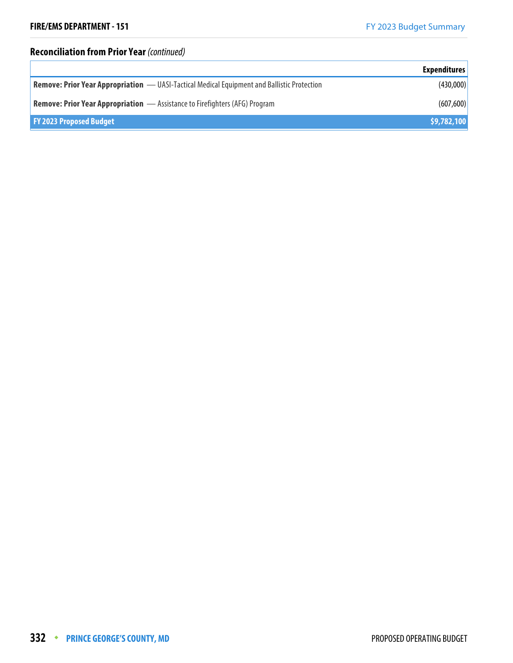# **Reconciliation from Prior Year (continued)**

|                                                                                             | <b>Expenditures</b> |
|---------------------------------------------------------------------------------------------|---------------------|
| Remove: Prior Year Appropriation — UASI-Tactical Medical Equipment and Ballistic Protection | (430,000)           |
| <b>Remove: Prior Year Appropriation</b> - Assistance to Firefighters (AFG) Program          | (607,600)           |
| <b>FY 2023 Proposed Budget</b>                                                              | \$9,782,100         |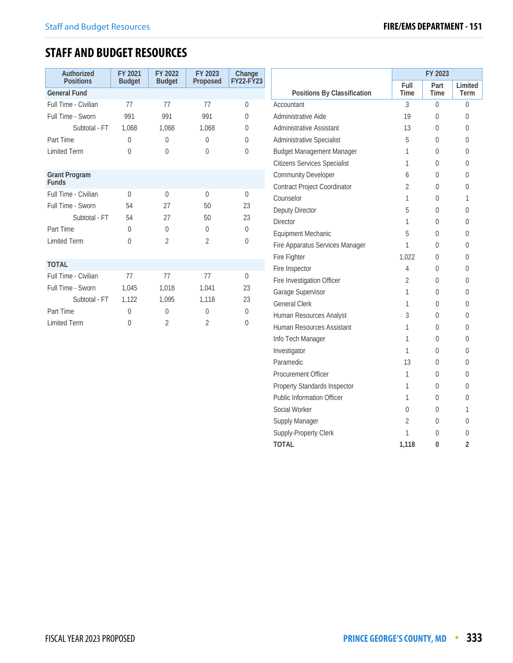# **STAFF AND BUDGET RESOURCES**

| Authorized<br><b>Positions</b>       | FY 2021<br><b>Budget</b> | FY 2022<br><b>Budget</b> | FY 2023<br>Proposed | Change<br><b>FY22-FY23</b> |
|--------------------------------------|--------------------------|--------------------------|---------------------|----------------------------|
| <b>General Fund</b>                  |                          |                          |                     |                            |
| Full Time - Civilian                 | 77                       | 77                       | 77                  | $\Omega$                   |
| Full Time - Sworn                    | 991                      | 991                      | 991                 | $\Omega$                   |
| Subtotal - FT                        | 1,068                    | 1,068                    | 1,068               | $\Omega$                   |
| Part Time                            | $\Omega$                 | $\Omega$                 | $\Omega$            | $\Omega$                   |
| <b>Limited Term</b>                  | $\Omega$                 | $\Omega$                 | $\Omega$            | $\Omega$                   |
|                                      |                          |                          |                     |                            |
| <b>Grant Program</b><br><b>Funds</b> |                          |                          |                     |                            |
| Full Time - Civilian                 | $\Omega$                 | $\Omega$                 | $\Omega$            | $\Omega$                   |
| Full Time - Sworn                    | 54                       | 27                       | 50                  | 23                         |
| Subtotal - FT                        | 54                       | 27                       | 50                  | 23                         |
| Part Time                            | $\theta$                 | $\Omega$                 | $\Omega$            | $\Omega$                   |
| <b>Limited Term</b>                  | $\Omega$                 | $\overline{2}$           | $\overline{2}$      | $\Omega$                   |
|                                      |                          |                          |                     |                            |
| <b>TOTAL</b>                         |                          |                          |                     |                            |
| Full Time - Civilian                 | 77                       | 77                       | 77                  | $\Omega$                   |
| Full Time - Sworn                    | 1,045                    | 1,018                    | 1,041               | 23                         |
| Subtotal - FT                        | 1,122                    | 1.095                    | 1,118               | 23                         |
| Part Time                            | $\Omega$                 | $\theta$                 | $\Omega$            | $\Omega$                   |
| <b>Limited Term</b>                  | $\Omega$                 | 2                        | $\overline{2}$      | $\Omega$                   |

|                                     | FY 2023        |              |                 |  |
|-------------------------------------|----------------|--------------|-----------------|--|
| Positions By Classification         | Full<br>Time   | Part<br>Time | Limited<br>Term |  |
| Accountant                          | 3              | 0            | 0               |  |
| Administrative Aide                 | 19             | 0            | 0               |  |
| Administrative Assistant            | 13             | $\Omega$     | 0               |  |
| <b>Administrative Specialist</b>    | 5              | 0            | 0               |  |
| <b>Budget Management Manager</b>    | 1              | 0            | 0               |  |
| <b>Citizens Services Specialist</b> | 1              | 0            | 0               |  |
| <b>Community Developer</b>          | 6              | 0            | 0               |  |
| <b>Contract Project Coordinator</b> | $\overline{2}$ | 0            | 0               |  |
| Counselor                           | 1              | 0            | 1               |  |
| Deputy Director                     | 5              | 0            | 0               |  |
| <b>Director</b>                     | 1              | 0            | 0               |  |
| <b>Equipment Mechanic</b>           | 5              | 0            | 0               |  |
| Fire Apparatus Services Manager     | 1              | 0            | 0               |  |
| Fire Fighter                        | 1.022          | 0            | 0               |  |
| Fire Inspector                      | 4              | 0            | 0               |  |
| Fire Investigation Officer          | $\overline{2}$ | 0            | 0               |  |
| Garage Supervisor                   | 1              | 0            | 0               |  |
| <b>General Clerk</b>                | 1              | 0            | 0               |  |
| Human Resources Analyst             | 3              | 0            | 0               |  |
| Human Resources Assistant           | 1              | 0            | 0               |  |
| Info Tech Manager                   | 1              | 0            | 0               |  |
| Investigator                        | 1              | 0            | 0               |  |
| Paramedic                           | 13             | 0            | 0               |  |
| <b>Procurement Officer</b>          | 1              | 0            | 0               |  |
| Property Standards Inspector        | 1              | 0            | 0               |  |
| <b>Public Information Officer</b>   | 1              | 0            | 0               |  |
| Social Worker                       | 0              | 0            | 1               |  |
| Supply Manager                      | 2              | 0            | 0               |  |
| Supply-Property Clerk               | 1              | 0            | 0               |  |
| TOTAL                               | 1,118          | 0            | 2               |  |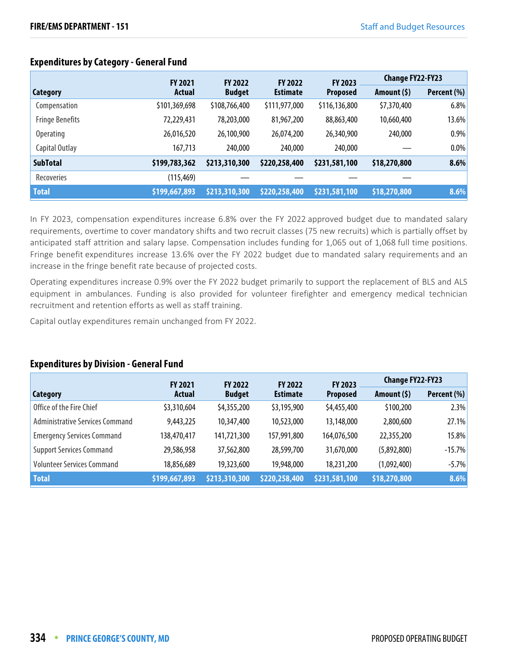|                        | <b>FY 2021</b> |               | FY 2023<br><b>FY 2022</b><br><b>FY 2022</b> |                 | <b>Change FY22-FY23</b> |             |
|------------------------|----------------|---------------|---------------------------------------------|-----------------|-------------------------|-------------|
| Category               | Actual         | <b>Budget</b> | <b>Estimate</b>                             | <b>Proposed</b> | Amount $(5)$            | Percent (%) |
| Compensation           | \$101,369,698  | \$108,766,400 | \$111,977,000                               | \$116,136,800   | \$7,370,400             | 6.8%        |
| <b>Fringe Benefits</b> | 72,229,431     | 78,203,000    | 81,967,200                                  | 88,863,400      | 10,660,400              | 13.6%       |
| <b>Operating</b>       | 26,016,520     | 26,100,900    | 26,074,200                                  | 26,340,900      | 240,000                 | 0.9%        |
| Capital Outlay         | 167,713        | 240,000       | 240,000                                     | 240,000         |                         | 0.0%        |
| <b>SubTotal</b>        | \$199,783,362  | \$213,310,300 | \$220,258,400                               | \$231,581,100   | \$18,270,800            | 8.6%        |
| Recoveries             | (115, 469)     |               |                                             |                 |                         |             |
| <b>Total</b>           | \$199,667,893  | \$213,310,300 | \$220,258,400                               | \$231,581,100   | \$18,270,800            | 8.6%        |

# **Expenditures by Category - General Fund**

In FY 2023, compensation expenditures increase 6.8% over the FY 2022 approved budget due to mandated salary requirements, overtime to cover mandatory shifts and two recruit classes (75 new recruits) which is partially offset by anticipated staff attrition and salary lapse. Compensation includes funding for 1,065 out of 1,068 full time positions. Fringe benefit expenditures increase 13.6% over the FY 2022 budget due to mandated salary requirements and an increase in the fringe benefit rate because of projected costs.

Operating expenditures increase 0.9% over the FY 2022 budget primarily to support the replacement of BLS and ALS equipment in ambulances. Funding is also provided for volunteer firefighter and emergency medical technician recruitment and retention efforts as well as staff training.

Capital outlay expenditures remain unchanged from FY 2022.

#### **Expenditures by Division - General Fund**

|                                   | <b>FY 2021</b> | <b>FY 2022</b> | <b>FY 2022</b>  | FY 2023         | <b>Change FY22-FY23</b> |             |
|-----------------------------------|----------------|----------------|-----------------|-----------------|-------------------------|-------------|
| Category                          | <b>Actual</b>  | <b>Budget</b>  | <b>Estimate</b> | <b>Proposed</b> | Amount $(5)$            | Percent (%) |
| Office of the Fire Chief          | \$3,310,604    | \$4,355,200    | \$3,195,900     | \$4,455,400     | \$100,200               | 2.3%        |
| Administrative Services Command   | 9,443,225      | 10,347,400     | 10,523,000      | 13,148,000      | 2,800,600               | 27.1%       |
| <b>Emergency Services Command</b> | 138,470,417    | 141,721,300    | 157,991,800     | 164,076,500     | 22,355,200              | $15.8\%$    |
| <b>Support Services Command</b>   | 29,586,958     | 37,562,800     | 28,599,700      | 31,670,000      | (5,892,800)             | $-15.7%$    |
| <b>Volunteer Services Command</b> | 18,856,689     | 19,323,600     | 19,948,000      | 18,231,200      | (1,092,400)             | $-5.7\%$    |
| <b>Total</b>                      | \$199,667,893  | \$213,310,300  | \$220,258,400   | \$231,581,100   | \$18,270,800            | 8.6%        |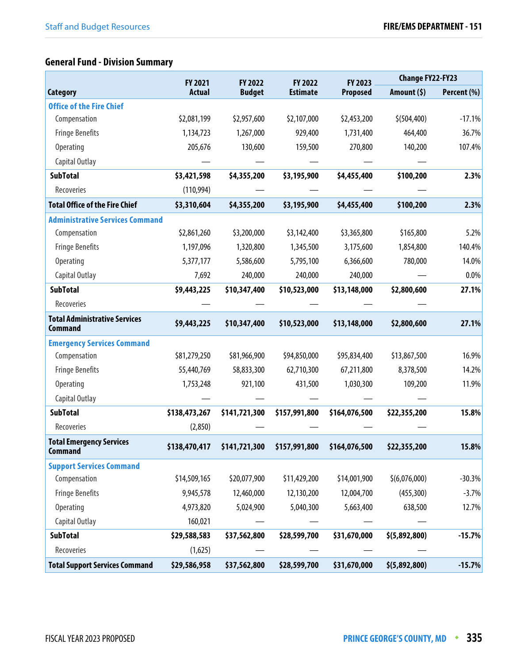# **General Fund - Division Summary**

|                                                        | FY 2021       | FY 2022       | FY 2022         | FY 2023         | <b>Change FY22-FY23</b> |             |
|--------------------------------------------------------|---------------|---------------|-----------------|-----------------|-------------------------|-------------|
| <b>Category</b>                                        | <b>Actual</b> | <b>Budget</b> | <b>Estimate</b> | <b>Proposed</b> | Amount $(5)$            | Percent (%) |
| <b>Office of the Fire Chief</b>                        |               |               |                 |                 |                         |             |
| Compensation                                           | \$2,081,199   | \$2,957,600   | \$2,107,000     | \$2,453,200     | \$ (504, 400)           | $-17.1%$    |
| <b>Fringe Benefits</b>                                 | 1,134,723     | 1,267,000     | 929,400         | 1,731,400       | 464,400                 | 36.7%       |
| <b>Operating</b>                                       | 205,676       | 130,600       | 159,500         | 270,800         | 140,200                 | 107.4%      |
| Capital Outlay                                         |               |               |                 |                 |                         |             |
| <b>SubTotal</b>                                        | \$3,421,598   | \$4,355,200   | \$3,195,900     | \$4,455,400     | \$100,200               | 2.3%        |
| Recoveries                                             | (110, 994)    |               |                 |                 |                         |             |
| <b>Total Office of the Fire Chief</b>                  | \$3,310,604   | \$4,355,200   | \$3,195,900     | \$4,455,400     | \$100,200               | 2.3%        |
| <b>Administrative Services Command</b>                 |               |               |                 |                 |                         |             |
| Compensation                                           | \$2,861,260   | \$3,200,000   | \$3,142,400     | \$3,365,800     | \$165,800               | 5.2%        |
| <b>Fringe Benefits</b>                                 | 1,197,096     | 1,320,800     | 1,345,500       | 3,175,600       | 1,854,800               | 140.4%      |
| <b>Operating</b>                                       | 5,377,177     | 5,586,600     | 5,795,100       | 6,366,600       | 780,000                 | 14.0%       |
| Capital Outlay                                         | 7,692         | 240,000       | 240,000         | 240,000         |                         | 0.0%        |
| <b>SubTotal</b>                                        | \$9,443,225   | \$10,347,400  | \$10,523,000    | \$13,148,000    | \$2,800,600             | 27.1%       |
| Recoveries                                             |               |               |                 |                 |                         |             |
| <b>Total Administrative Services</b><br><b>Command</b> | \$9,443,225   | \$10,347,400  | \$10,523,000    | \$13,148,000    | \$2,800,600             | 27.1%       |
| <b>Emergency Services Command</b>                      |               |               |                 |                 |                         |             |
| Compensation                                           | \$81,279,250  | \$81,966,900  | \$94,850,000    | \$95,834,400    | \$13,867,500            | 16.9%       |
| <b>Fringe Benefits</b>                                 | 55,440,769    | 58,833,300    | 62,710,300      | 67,211,800      | 8,378,500               | 14.2%       |
| Operating                                              | 1,753,248     | 921,100       | 431,500         | 1,030,300       | 109,200                 | 11.9%       |
| Capital Outlay                                         |               |               |                 |                 |                         |             |
| <b>SubTotal</b>                                        | \$138,473,267 | \$141,721,300 | \$157,991,800   | \$164,076,500   | \$22,355,200            | 15.8%       |
| Recoveries                                             | (2,850)       |               |                 |                 |                         |             |
| <b>Total Emergency Services</b><br><b>Command</b>      | \$138,470,417 | \$141,721,300 | \$157,991,800   | \$164,076,500   | \$22,355,200            | 15.8%       |
| <b>Support Services Command</b>                        |               |               |                 |                 |                         |             |
| Compensation                                           | \$14,509,165  | \$20,077,900  | \$11,429,200    | \$14,001,900    | \$(6,076,000)           | $-30.3%$    |
| <b>Fringe Benefits</b>                                 | 9,945,578     | 12,460,000    | 12,130,200      | 12,004,700      | (455, 300)              | $-3.7%$     |
| <b>Operating</b>                                       | 4,973,820     | 5,024,900     | 5,040,300       | 5,663,400       | 638,500                 | 12.7%       |
| Capital Outlay                                         | 160,021       |               |                 |                 |                         |             |
| <b>SubTotal</b>                                        | \$29,588,583  | \$37,562,800  | \$28,599,700    | \$31,670,000    | \$(5,892,800)           | $-15.7%$    |
| Recoveries                                             | (1,625)       |               |                 |                 |                         |             |
| <b>Total Support Services Command</b>                  | \$29,586,958  | \$37,562,800  | \$28,599,700    | \$31,670,000    | \$(5,892,800)           | $-15.7%$    |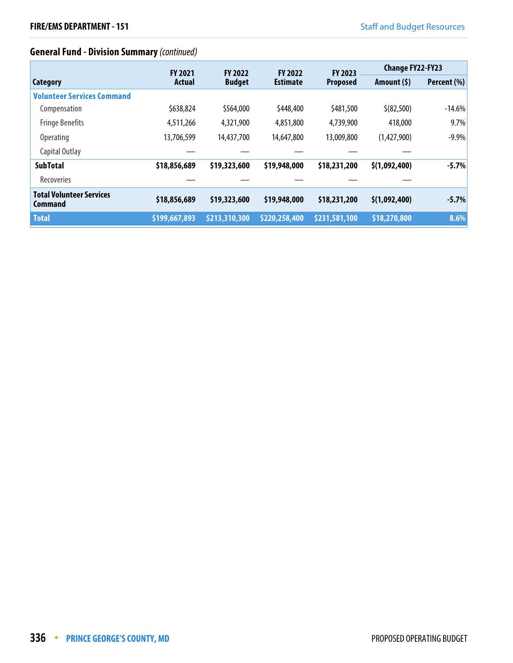# **General Fund - Division Summary** (continued)

|                                                   | <b>FY 2021</b> | <b>FY 2022</b> | <b>FY 2022</b>  | <b>FY 2023</b>  | <b>Change FY22-FY23</b> |             |
|---------------------------------------------------|----------------|----------------|-----------------|-----------------|-------------------------|-------------|
| <b>Category</b>                                   | Actual         | <b>Budget</b>  | <b>Estimate</b> | <b>Proposed</b> | Amount $(5)$            | Percent (%) |
| <b>Volunteer Services Command</b>                 |                |                |                 |                 |                         |             |
| Compensation                                      | \$638,824      | \$564,000      | \$448,400       | \$481,500       | \$ (82, 500)            | $-14.6%$    |
| <b>Fringe Benefits</b>                            | 4,511,266      | 4,321,900      | 4,851,800       | 4,739,900       | 418,000                 | 9.7%        |
| <b>Operating</b>                                  | 13,706,599     | 14,437,700     | 14,647,800      | 13,009,800      | (1,427,900)             | $-9.9%$     |
| Capital Outlay                                    |                |                |                 |                 |                         |             |
| <b>SubTotal</b>                                   | \$18,856,689   | \$19,323,600   | \$19,948,000    | \$18,231,200    | \$(1,092,400)           | $-5.7%$     |
| Recoveries                                        |                |                |                 |                 |                         |             |
| <b>Total Volunteer Services</b><br><b>Command</b> | \$18,856,689   | \$19,323,600   | \$19,948,000    | \$18,231,200    | \$(1,092,400)           | $-5.7%$     |
| <b>Total</b>                                      | \$199,667,893  | \$213,310,300  | \$220,258,400   | \$231,581,100   | \$18,270,800            | 8.6%        |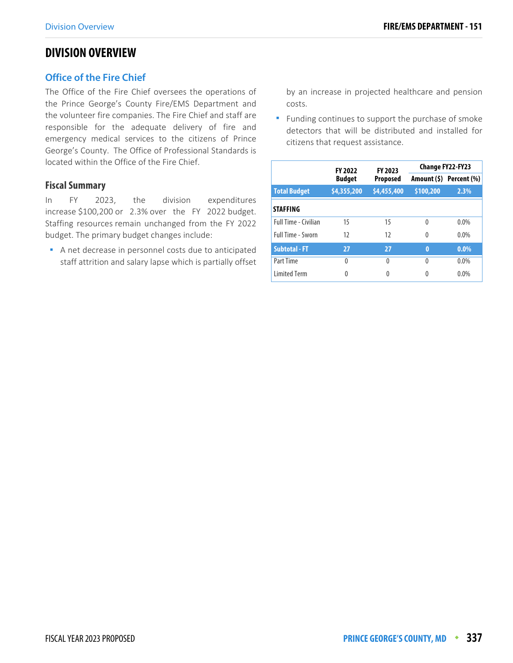# **DIVISION OVERVIEW**

#### **Office of the Fire Chief**

The Office of the Fire Chief oversees the operations of the Prince George's County Fire/EMS Department and the volunteer fire companies. The Fire Chief and staff are responsible for the adequate delivery of fire and emergency medical services to the citizens of Prince George's County. The Office of Professional Standards is located within the Office of the Fire Chief.

#### **Fiscal Summary**

In FY 2023, the division expenditures increase \$100,200 or 2.3% over the FY 2022 budget. Staffing resources remain unchanged from the FY 2022 budget. The primary budget changes include:

 A net decrease in personnel costs due to anticipated staff attrition and salary lapse which is partially offset by an increase in projected healthcare and pension costs.

Funding continues to support the purchase of smoke detectors that will be distributed and installed for citizens that request assistance.

|                      | <b>FY 2022</b> | FY 2023     | <b>Change FY22-FY23</b> |                         |  |  |
|----------------------|----------------|-------------|-------------------------|-------------------------|--|--|
|                      | <b>Budget</b>  | Proposed    |                         | Amount (\$) Percent (%) |  |  |
| <b>Total Budget</b>  | \$4,355,200    | \$4,455,400 | \$100,200               | 2.3%                    |  |  |
| <b>STAFFING</b>      |                |             |                         |                         |  |  |
| Full Time - Civilian | 15             | 15          | $\Omega$                | $0.0\%$                 |  |  |
| Full Time - Sworn    | 12             | 12          | $\Omega$                | $0.0\%$                 |  |  |
| <b>Subtotal - FT</b> | 27             | 27          | $\bf{0}$                | $0.0\%$                 |  |  |
| Part Time            | $\theta$       | 0           | $\Omega$                | 0.0%                    |  |  |
| <b>Limited Term</b>  | 0              | 0           | 0                       | 0.0%                    |  |  |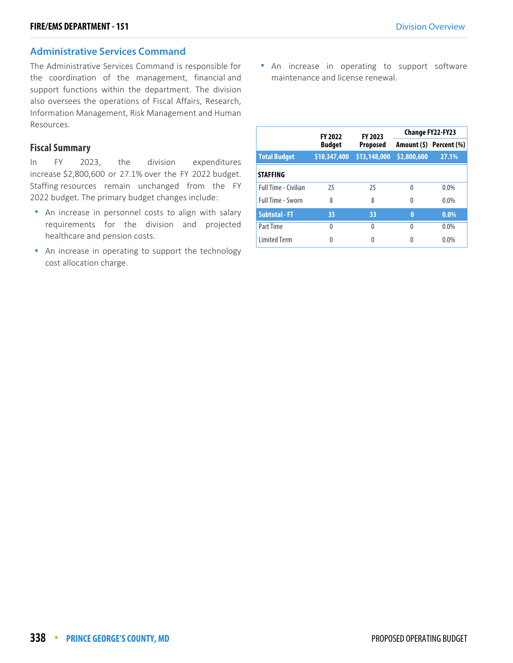#### **Administrative Services Command**

The Administrative Services Command is responsible for the coordination of the management, financial and support functions within the department. The division also oversees the operations of Fiscal Affairs, Research, Information Management, Risk Management and Human Resources.

#### **Fiscal Summary**

In FY 2023, the division expenditures increase \$2,800,600 or 27.1% over the FY 2022 budget. Staffing resources remain unchanged from the FY 2022 budget. The primary budget changes include:

- **An increase in personnel costs to align with salary** requirements for the division and projected healthcare and pension costs.
- An increase in operating to support the technology cost allocation charge.

**An increase in operating to support software** maintenance and license renewal.

|                             | <b>FY 2022</b> | FY 2023         |             | <b>Change FY22-FY23</b> |
|-----------------------------|----------------|-----------------|-------------|-------------------------|
|                             | <b>Budget</b>  | <b>Proposed</b> |             | Amount (\$) Percent (%) |
| <b>Total Budget</b>         | \$10,347,400   | \$13,148,000    | \$2,800,600 | 27.1%                   |
| <b>STAFFING</b>             |                |                 |             |                         |
| <b>Full Time - Civilian</b> | 25             | 25              | $\Omega$    | $0.0\%$                 |
| Full Time - Sworn           | 8              | 8               | 0           | $0.0\%$                 |
| <b>Subtotal - FT</b>        | 33             | 33              | $\bf{0}$    | $0.0\%$                 |
| Part Time                   | $\Omega$       | 0               | 0           | $0.0\%$                 |
| <b>Limited Term</b>         | $\Omega$       |                 | 0           | $0.0\%$                 |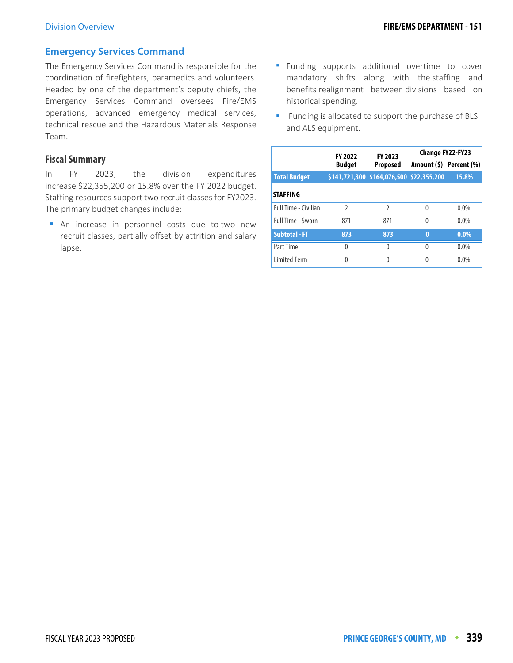#### **Emergency Services Command**

The Emergency Services Command is responsible for the coordination of firefighters, paramedics and volunteers. Headed by one of the department's deputy chiefs, the Emergency Services Command oversees Fire/EMS operations, advanced emergency medical services, technical rescue and the Hazardous Materials Response Team.

#### **Fiscal Summary**

In FY 2023, the division expenditures increase \$22,355,200 or 15.8% over the FY 2022 budget. Staffing resources support two recruit classes for FY2023. The primary budget changes include:

 An increase in personnel costs due to two new recruit classes, partially offset by attrition and salary lapse.

- Funding supports additional overtime to cover mandatory shifts along with the staffing and benefits realignment between divisions based on historical spending.
- Funding is allocated to support the purchase of BLS and ALS equipment.

|                             | <b>FY 2022</b> | FY 2023                                  | Change FY22-FY23 |                         |  |
|-----------------------------|----------------|------------------------------------------|------------------|-------------------------|--|
|                             | <b>Budget</b>  | <b>Proposed</b>                          |                  | Amount (\$) Percent (%) |  |
| <b>Total Budget</b>         |                | \$141,721,300 \$164,076,500 \$22,355,200 |                  | 15.8%                   |  |
| <b>STAFFING</b>             |                |                                          |                  |                         |  |
| <b>Full Time - Civilian</b> | $\mathfrak z$  | $\mathfrak{D}$                           | $\Omega$         | $0.0\%$                 |  |
| Full Time - Sworn           | 871            | 871                                      | $\Omega$         | $0.0\%$                 |  |
| <b>Subtotal - FT</b>        | 873            | 873                                      | $\bf{0}$         | $0.0\%$                 |  |
| Part Time                   | 0              | $\Omega$                                 | $\Omega$         | $0.0\%$                 |  |
| <b>Limited Term</b>         | 0              | 0                                        | 0                | $0.0\%$                 |  |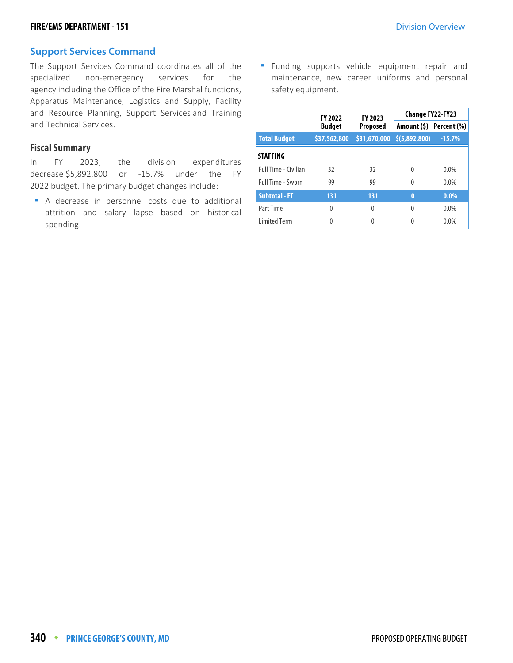#### **Support Services Command**

The Support Services Command coordinates all of the specialized non-emergency services for the agency including the Office of the Fire Marshal functions, Apparatus Maintenance, Logistics and Supply, Facility and Resource Planning, Support Services and Training and Technical Services.

#### **Fiscal Summary**

In FY 2023, the division expenditures decrease \$5,892,800 or -15.7% under the FY 2022 budget. The primary budget changes include:

 A decrease in personnel costs due to additional attrition and salary lapse based on historical spending.

**Funding supports vehicle equipment repair and** maintenance, new career uniforms and personal safety equipment.

|                      | <b>FY 2022</b> | FY 2023         | <b>Change FY22-FY23</b>          |                         |  |
|----------------------|----------------|-----------------|----------------------------------|-------------------------|--|
|                      | <b>Budget</b>  | <b>Proposed</b> |                                  | Amount (\$) Percent (%) |  |
| <b>Total Budget</b>  | \$37,562,800   |                 | $$31,670,000 \quad $(5,892,800)$ | $-15.7%$                |  |
| <b>STAFFING</b>      |                |                 |                                  |                         |  |
| Full Time - Civilian | 32             | 32              | $\Omega$                         | $0.0\%$                 |  |
| Full Time - Sworn    | 99             | 99              | 0                                | $0.0\%$                 |  |
| <b>Subtotal - FT</b> | 131            | 131             | $\bf{0}$                         | $0.0\%$                 |  |
| <b>Part Time</b>     | 0              | $\Omega$        | $\Omega$                         | $0.0\%$                 |  |
| <b>Limited Term</b>  | 0              | 0               |                                  | $0.0\%$                 |  |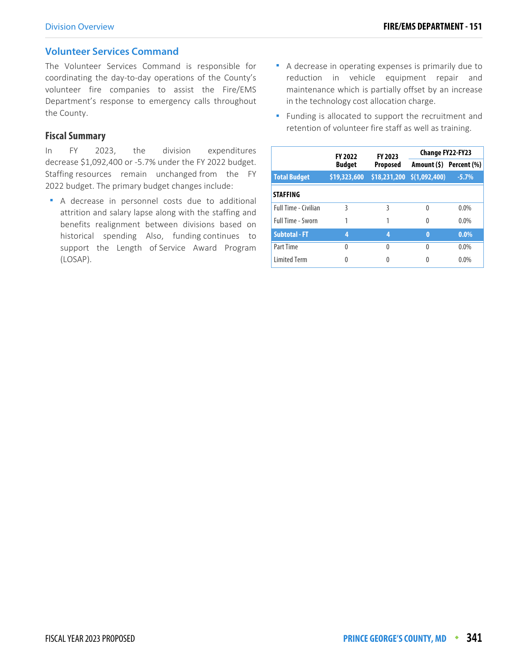#### **Volunteer Services Command**

The Volunteer Services Command is responsible for coordinating the day-to-day operations of the County's volunteer fire companies to assist the Fire/EMS Department's response to emergency calls throughout the County.

#### **Fiscal Summary**

In FY 2023, the division expenditures decrease \$1,092,400 or -5.7% under the FY 2022 budget. Staffing resources remain unchanged from the FY 2022 budget. The primary budget changes include:

 A decrease in personnel costs due to additional attrition and salary lapse along with the staffing and benefits realignment between divisions based on historical spending Also, funding continues to support the Length of Service Award Program (LOSAP).

- A decrease in operating expenses is primarily due to reduction in vehicle equipment repair and maintenance which is partially offset by an increase in the technology cost allocation charge.
- **Funding is allocated to support the recruitment and** retention of volunteer fire staff as well as training.

|                             | <b>FY 2022</b> | FY 2023         | Change FY22-FY23                 |                         |
|-----------------------------|----------------|-----------------|----------------------------------|-------------------------|
|                             | <b>Budget</b>  | <b>Proposed</b> |                                  | Amount (\$) Percent (%) |
| <b>Total Budget</b>         | \$19,323,600   |                 | $$18,231,200 \quad $(1,092,400)$ | $-5.7%$                 |
| <b>STAFFING</b>             |                |                 |                                  |                         |
| <b>Full Time - Civilian</b> | 3              | ξ               | $\Omega$                         | $0.0\%$                 |
| Full Time - Sworn           | 1              |                 | $\Omega$                         | $0.0\%$                 |
| <b>Subtotal - FT</b>        | 4              | 4               | $\bf{0}$                         | $0.0\%$                 |
| Part Time                   | 0              | 0               | 0                                | $0.0\%$                 |
| <b>Limited Term</b>         | Λ              |                 | 0                                | $0.0\%$                 |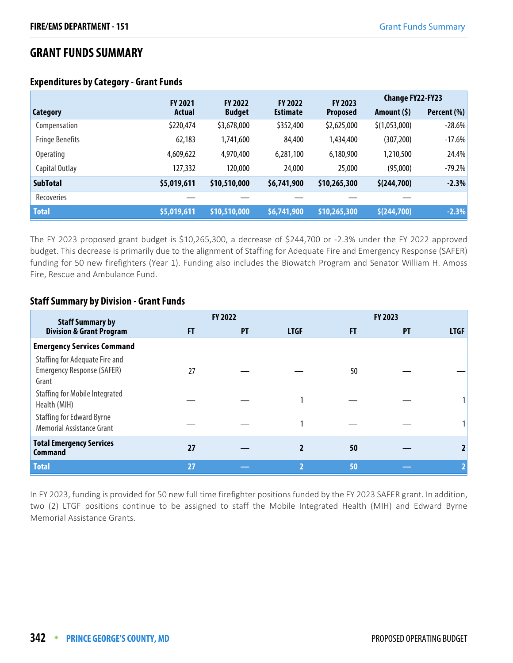# **GRANT FUNDS SUMMARY**

|                        | <b>FY 2021</b> | <b>FY 2022</b> | <b>FY 2022</b>  | <b>FY 2023</b>  | <b>Change FY22-FY23</b> |             |
|------------------------|----------------|----------------|-----------------|-----------------|-------------------------|-------------|
| <b>Category</b>        | Actual         | <b>Budget</b>  | <b>Estimate</b> | <b>Proposed</b> | Amount (\$)             | Percent (%) |
| Compensation           | \$220,474      | \$3,678,000    | \$352,400       | \$2,625,000     | \$(1,053,000)           | $-28.6%$    |
| <b>Fringe Benefits</b> | 62,183         | 1,741,600      | 84,400          | 1,434,400       | (307, 200)              | $-17.6%$    |
| <b>Operating</b>       | 4,609,622      | 4,970,400      | 6,281,100       | 6,180,900       | 1,210,500               | 24.4%       |
| Capital Outlay         | 127,332        | 120,000        | 24,000          | 25,000          | (95,000)                | $-79.2%$    |
| <b>SubTotal</b>        | \$5,019,611    | \$10,510,000   | \$6,741,900     | \$10,265,300    | \$(244,700)             | $-2.3%$     |
| Recoveries             |                |                |                 |                 |                         |             |
| <b>Total</b>           | \$5,019,611    | \$10,510,000   | \$6,741,900     | \$10,265,300    | \$(244,700)             | $-2.3%$     |

#### **Expenditures by Category - Grant Funds**

The FY 2023 proposed grant budget is \$10,265,300, a decrease of \$244,700 or -2.3% under the FY 2022 approved budget. This decrease is primarily due to the alignment of Staffing for Adequate Fire and Emergency Response (SAFER) funding for 50 new firefighters (Year 1). Funding also includes the Biowatch Program and Senator William H. Amoss Fire, Rescue and Ambulance Fund.

#### **Staff Summary by Division - Grant Funds**

| <b>Staff Summary by</b>                                               |    | <b>FY 2022</b> |                |     | FY 2023   |             |
|-----------------------------------------------------------------------|----|----------------|----------------|-----|-----------|-------------|
| <b>Division &amp; Grant Program</b>                                   | FT | PT             | <b>LTGF</b>    | FT. | <b>PT</b> | <b>LTGF</b> |
| <b>Emergency Services Command</b>                                     |    |                |                |     |           |             |
| Staffing for Adequate Fire and<br>Emergency Response (SAFER)<br>Grant | 27 |                |                | 50  |           |             |
| <b>Staffing for Mobile Integrated</b><br>Health (MIH)                 |    |                |                |     |           |             |
| <b>Staffing for Edward Byrne</b><br><b>Memorial Assistance Grant</b>  |    |                |                |     |           |             |
| <b>Total Emergency Services</b><br><b>Command</b>                     | 27 |                |                | 50  |           |             |
| <b>Total</b>                                                          | 27 |                | $\overline{2}$ | 50  |           |             |

In FY 2023, funding is provided for 50 new full time firefighter positions funded by the FY 2023 SAFER grant. In addition, two (2) LTGF positions continue to be assigned to staff the Mobile Integrated Health (MIH) and Edward Byrne Memorial Assistance Grants.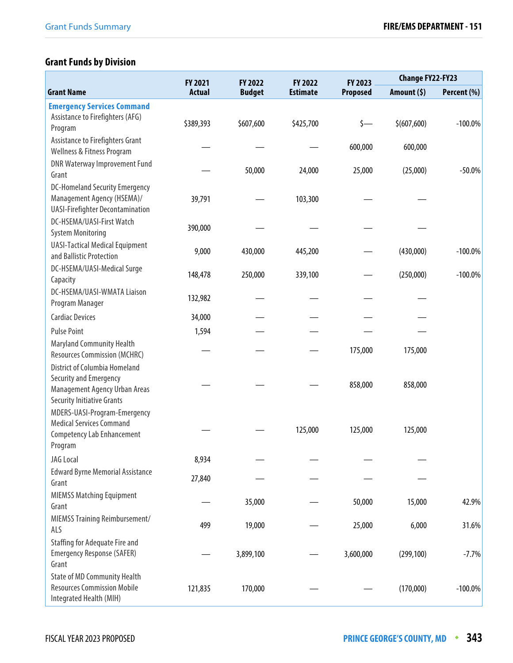# **Grant Funds by Division**

|                                                                                                                               | FY 2022<br><b>FY 2021</b><br>FY 2022 |               | FY 2023         |                 | <b>Change FY22-FY23</b> |             |
|-------------------------------------------------------------------------------------------------------------------------------|--------------------------------------|---------------|-----------------|-----------------|-------------------------|-------------|
| <b>Grant Name</b>                                                                                                             | <b>Actual</b>                        | <b>Budget</b> | <b>Estimate</b> | <b>Proposed</b> | Amount $(5)$            | Percent (%) |
| <b>Emergency Services Command</b><br>Assistance to Firefighters (AFG)<br>Program                                              | \$389,393                            | \$607,600     | \$425,700       | $\zeta$ —       | \$(607,600)             | $-100.0\%$  |
| Assistance to Firefighters Grant<br>Wellness & Fitness Program                                                                |                                      |               |                 | 600,000         | 600,000                 |             |
| <b>DNR Waterway Improvement Fund</b><br>Grant                                                                                 |                                      | 50,000        | 24,000          | 25,000          | (25,000)                | $-50.0%$    |
| <b>DC-Homeland Security Emergency</b><br>Management Agency (HSEMA)/<br><b>UASI-Firefighter Decontamination</b>                | 39,791                               |               | 103,300         |                 |                         |             |
| DC-HSEMA/UASI-First Watch<br><b>System Monitoring</b>                                                                         | 390,000                              |               |                 |                 |                         |             |
| <b>UASI-Tactical Medical Equipment</b><br>and Ballistic Protection                                                            | 9,000                                | 430,000       | 445,200         |                 | (430,000)               | $-100.0\%$  |
| DC-HSEMA/UASI-Medical Surge<br>Capacity                                                                                       | 148,478                              | 250,000       | 339,100         |                 | (250,000)               | $-100.0\%$  |
| DC-HSEMA/UASI-WMATA Liaison<br>Program Manager                                                                                | 132,982                              |               |                 |                 |                         |             |
| <b>Cardiac Devices</b>                                                                                                        | 34,000                               |               |                 |                 |                         |             |
| <b>Pulse Point</b>                                                                                                            | 1,594                                |               |                 |                 |                         |             |
| <b>Maryland Community Health</b><br><b>Resources Commission (MCHRC)</b>                                                       |                                      |               |                 | 175,000         | 175,000                 |             |
| <b>District of Columbia Homeland</b><br>Security and Emergency<br>Management Agency Urban Areas<br>Security Initiative Grants |                                      |               |                 | 858,000         | 858,000                 |             |
| MDERS-UASI-Program-Emergency<br><b>Medical Services Command</b><br><b>Competency Lab Enhancement</b><br>Program               |                                      |               | 125,000         | 125,000         | 125,000                 |             |
| JAG Local                                                                                                                     | 8,934                                |               |                 |                 |                         |             |
| <b>Edward Byrne Memorial Assistance</b><br>Grant                                                                              | 27,840                               |               |                 |                 |                         |             |
| <b>MIEMSS Matching Equipment</b><br>Grant                                                                                     |                                      | 35,000        |                 | 50,000          | 15,000                  | 42.9%       |
| MIEMSS Training Reimbursement/<br>ALS                                                                                         | 499                                  | 19,000        |                 | 25,000          | 6,000                   | 31.6%       |
| <b>Staffing for Adequate Fire and</b><br><b>Emergency Response (SAFER)</b><br>Grant                                           |                                      | 3,899,100     |                 | 3,600,000       | (299, 100)              | $-7.7%$     |
| <b>State of MD Community Health</b><br><b>Resources Commission Mobile</b><br>Integrated Health (MIH)                          | 121,835                              | 170,000       |                 |                 | (170,000)               | $-100.0\%$  |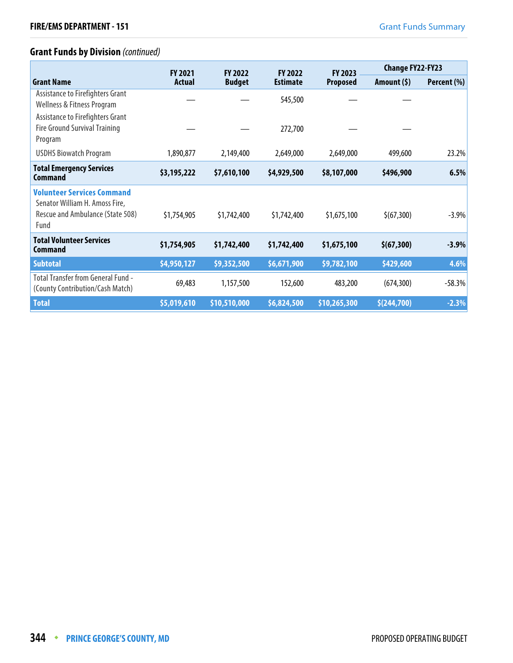# **Grant Funds by Division** (continued)

|                                                                                                                 | <b>FY 2021</b> | <b>FY 2022</b> | <b>FY 2022</b><br><b>FY 2023</b> |                 | <b>Change FY22-FY23</b> |             |
|-----------------------------------------------------------------------------------------------------------------|----------------|----------------|----------------------------------|-----------------|-------------------------|-------------|
| <b>Grant Name</b>                                                                                               | <b>Actual</b>  | <b>Budget</b>  | <b>Estimate</b>                  | <b>Proposed</b> | Amount $(5)$            | Percent (%) |
| Assistance to Firefighters Grant<br>Wellness & Fitness Program                                                  |                |                | 545,500                          |                 |                         |             |
| Assistance to Firefighters Grant<br><b>Fire Ground Survival Training</b><br>Program                             |                |                | 272,700                          |                 |                         |             |
| <b>USDHS Biowatch Program</b>                                                                                   | 1,890,877      | 2,149,400      | 2,649,000                        | 2,649,000       | 499,600                 | 23.2%       |
| <b>Total Emergency Services</b><br>Command                                                                      | \$3,195,222    | \$7,610,100    | \$4,929,500                      | \$8,107,000     | \$496,900               | 6.5%        |
| <b>Volunteer Services Command</b><br>Senator William H. Amoss Fire,<br>Rescue and Ambulance (State 508)<br>Fund | \$1,754,905    | \$1,742,400    | \$1,742,400                      | \$1,675,100     | \$(67,300)              | $-3.9%$     |
| <b>Total Volunteer Services</b><br><b>Command</b>                                                               | \$1,754,905    | \$1,742,400    | \$1,742,400                      | \$1,675,100     | \$(67,300)              | $-3.9%$     |
| <b>Subtotal</b>                                                                                                 | \$4,950,127    | \$9,352,500    | \$6,671,900                      | \$9,782,100     | \$429,600               | 4.6%        |
| <b>Total Transfer from General Fund -</b><br>(County Contribution/Cash Match)                                   | 69,483         | 1,157,500      | 152,600                          | 483,200         | (674, 300)              | $-58.3%$    |
| <b>Total</b>                                                                                                    | \$5,019,610    | \$10,510,000   | \$6,824,500                      | \$10,265,300    | \$(244,700)             | $-2.3%$     |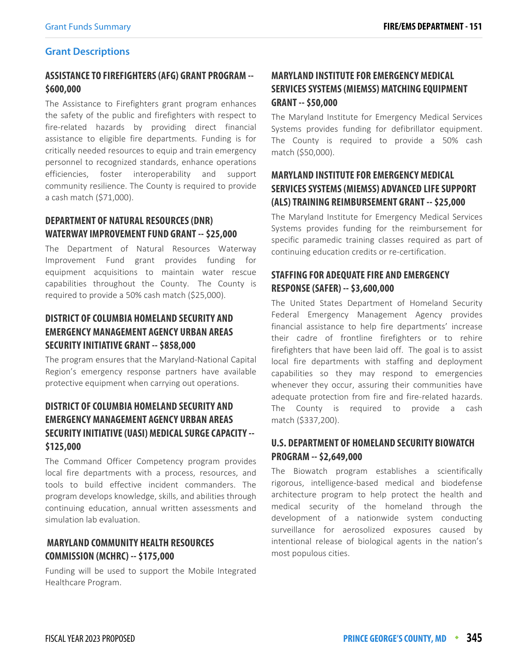#### **Grant Descriptions**

# **ASSISTANCE TO FIREFIGHTERS (AFG) GRANT PROGRAM -- \$600,000**

The Assistance to Firefighters grant program enhances the safety of the public and firefighters with respect to fire-related hazards by providing direct financial assistance to eligible fire departments. Funding is for critically needed resources to equip and train emergency personnel to recognized standards, enhance operations efficiencies, foster interoperability and support community resilience. The County is required to provide a cash match (\$71,000).

## **DEPARTMENT OF NATURAL RESOURCES (DNR) WATERWAY IMPROVEMENT FUND GRANT -- \$25,000**

The Department of Natural Resources Waterway Improvement Fund grant provides funding for equipment acquisitions to maintain water rescue capabilities throughout the County. The County is required to provide a 50% cash match (\$25,000).

# **DISTRICT OF COLUMBIA HOMELAND SECURITY AND EMERGENCY MANAGEMENT AGENCY URBAN AREAS SECURITY INITIATIVE GRANT -- \$858,000**

The program ensures that the Maryland-National Capital Region's emergency response partners have available protective equipment when carrying out operations.

# **DISTRICT OF COLUMBIA HOMELAND SECURITY AND EMERGENCY MANAGEMENT AGENCY URBAN AREAS SECURITY INITIATIVE (UASI) MEDICAL SURGE CAPACITY -- \$125,000**

The Command Officer Competency program provides local fire departments with a process, resources, and tools to build effective incident commanders. The program develops knowledge, skills, and abilities through continuing education, annual written assessments and simulation lab evaluation.

# **MARYLAND COMMUNITY HEALTH RESOURCES COMMISSION (MCHRC) -- \$175,000**

Funding will be used to support the Mobile Integrated Healthcare Program.

# **MARYLAND INSTITUTE FOR EMERGENCY MEDICAL SERVICES SYSTEMS (MIEMSS) MATCHING EQUIPMENT GRANT -- \$50,000**

The Maryland Institute for Emergency Medical Services Systems provides funding for defibrillator equipment. The County is required to provide a 50% cash match (\$50,000).

# **MARYLAND INSTITUTE FOR EMERGENCY MEDICAL SERVICES SYSTEMS (MIEMSS) ADVANCED LIFE SUPPORT (ALS) TRAINING REIMBURSEMENT GRANT -- \$25,000**

The Maryland Institute for Emergency Medical Services Systems provides funding for the reimbursement for specific paramedic training classes required as part of continuing education credits or re-certification.

## **STAFFING FOR ADEQUATE FIRE AND EMERGENCY RESPONSE (SAFER) -- \$3,600,000**

The United States Department of Homeland Security Federal Emergency Management Agency provides financial assistance to help fire departments' increase their cadre of frontline firefighters or to rehire firefighters that have been laid off. The goal is to assist local fire departments with staffing and deployment capabilities so they may respond to emergencies whenever they occur, assuring their communities have adequate protection from fire and fire-related hazards. The County is required to provide a cash match (\$337,200).

## **U.S. DEPARTMENT OF HOMELAND SECURITY BIOWATCH PROGRAM -- \$2,649,000**

The Biowatch program establishes a scientifically rigorous, intelligence-based medical and biodefense architecture program to help protect the health and medical security of the homeland through the development of a nationwide system conducting surveillance for aerosolized exposures caused by intentional release of biological agents in the nation's most populous cities.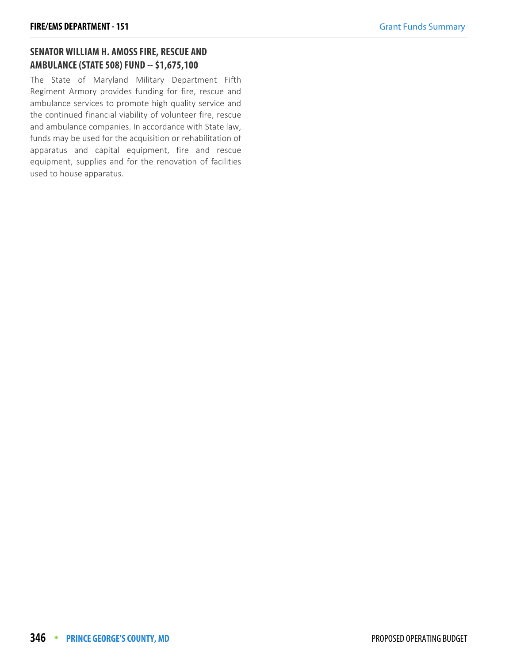# **SENATOR WILLIAM H. AMOSS FIRE, RESCUE AND AMBULANCE (STATE 508) FUND -- \$1,675,100**

The State of Maryland Military Department Fifth Regiment Armory provides funding for fire, rescue and ambulance services to promote high quality service and the continued financial viability of volunteer fire, rescue and ambulance companies. In accordance with State law, funds may be used for the acquisition or rehabilitation of apparatus and capital equipment, fire and rescue equipment, supplies and for the renovation of facilities used to house apparatus.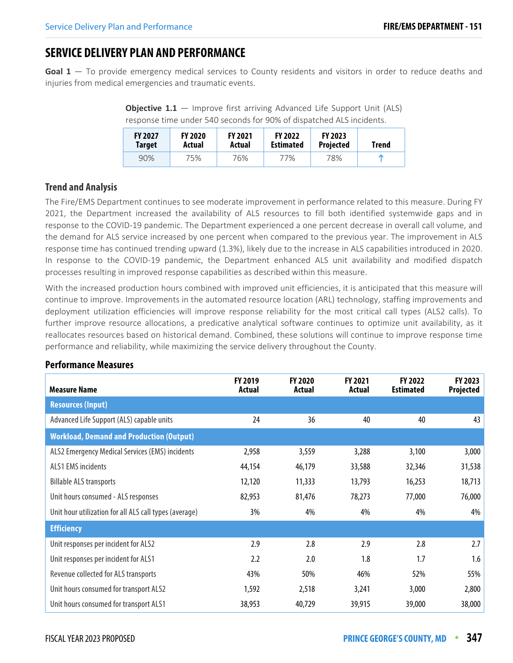# **SERVICE DELIVERY PLAN AND PERFORMANCE**

**Goal 1** — To provide emergency medical services to County residents and visitors in order to reduce deaths and injuries from medical emergencies and traumatic events.

**Objective 1.1** – Improve first arriving Advanced Life Support Unit (ALS) response time under 540 seconds for 90% of dispatched ALS incidents.

| <b>FY 2027</b> | <b>FY 2020</b> | <b>FY 2021</b> | <b>FY 2022</b>   | <b>FY 2023</b>   | Trend |
|----------------|----------------|----------------|------------------|------------------|-------|
| <b>Target</b>  | Actual         | Actual         | <b>Estimated</b> | <b>Projected</b> |       |
| 90%            | 75%            | 76%            | 77%              | 78%              | m     |

#### **Trend and Analysis**

The Fire/EMS Department continues to see moderate improvement in performance related to this measure. During FY 2021, the Department increased the availability of ALS resources to fill both identified systemwide gaps and in response to the COVID-19 pandemic. The Department experienced a one percent decrease in overall call volume, and the demand for ALS service increased by one percent when compared to the previous year. The improvement in ALS response time has continued trending upward (1.3%), likely due to the increase in ALS capabilities introduced in 2020. In response to the COVID-19 pandemic, the Department enhanced ALS unit availability and modified dispatch processes resulting in improved response capabilities as described within this measure.

With the increased production hours combined with improved unit efficiencies, it is anticipated that this measure will continue to improve. Improvements in the automated resource location (ARL) technology, staffing improvements and deployment utilization efficiencies will improve response reliability for the most critical call types (ALS2 calls). To further improve resource allocations, a predicative analytical software continues to optimize unit availability, as it reallocates resources based on historical demand. Combined, these solutions will continue to improve response time performance and reliability, while maximizing the service delivery throughout the County.

| <b>Measure Name</b>                                    | <b>FY 2019</b><br>Actual | <b>FY 2020</b><br>Actual | <b>FY 2021</b><br>Actual | FY 2022<br><b>Estimated</b> | FY 2023<br><b>Projected</b> |
|--------------------------------------------------------|--------------------------|--------------------------|--------------------------|-----------------------------|-----------------------------|
| <b>Resources (Input)</b>                               |                          |                          |                          |                             |                             |
| Advanced Life Support (ALS) capable units              | 24                       | 36                       | 40                       | 40                          | 43                          |
| <b>Workload, Demand and Production (Output)</b>        |                          |                          |                          |                             |                             |
| ALS2 Emergency Medical Services (EMS) incidents        | 2,958                    | 3,559                    | 3,288                    | 3,100                       | 3,000                       |
| <b>ALS1 EMS incidents</b>                              | 44,154                   | 46,179                   | 33,588                   | 32,346                      | 31,538                      |
| <b>Billable ALS transports</b>                         | 12,120                   | 11,333                   | 13,793                   | 16,253                      | 18,713                      |
| Unit hours consumed - ALS responses                    | 82,953                   | 81,476                   | 78,273                   | 77,000                      | 76,000                      |
| Unit hour utilization for all ALS call types (average) | 3%                       | 4%                       | 4%                       | 4%                          | 4%                          |
| <b>Efficiency</b>                                      |                          |                          |                          |                             |                             |
| Unit responses per incident for ALS2                   | 2.9                      | 2.8                      | 2.9                      | 2.8                         | 2.7                         |
| Unit responses per incident for ALS1                   | 2.2                      | 2.0                      | 1.8                      | 1.7                         | 1.6                         |
| Revenue collected for ALS transports                   | 43%                      | 50%                      | 46%                      | 52%                         | 55%                         |
| Unit hours consumed for transport ALS2                 | 1,592                    | 2,518                    | 3,241                    | 3,000                       | 2,800                       |
| Unit hours consumed for transport ALS1                 | 38,953                   | 40,729                   | 39,915                   | 39,000                      | 38,000                      |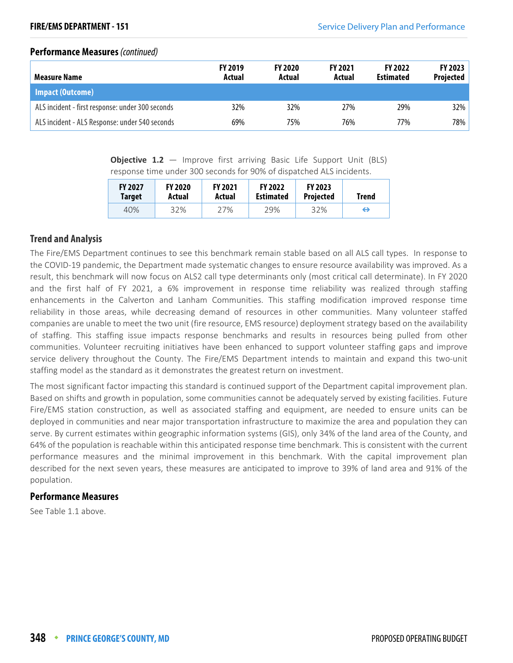#### **Performance Measures** (continued)

| <b>Measure Name</b>                              | <b>FY 2019</b><br>Actual | <b>FY 2020</b><br>Actual | <b>FY 2021</b><br>Actual | <b>FY 2022</b><br><b>Estimated</b> | <b>FY 2023</b><br><b>Projected</b> |
|--------------------------------------------------|--------------------------|--------------------------|--------------------------|------------------------------------|------------------------------------|
| Impact (Outcome)                                 |                          |                          |                          |                                    |                                    |
| ALS incident - first response: under 300 seconds | 32%                      | 32%                      | 27%                      | 29%                                | 32%                                |
| ALS incident - ALS Response: under 540 seconds   | 69%                      | 75%                      | 76%                      | 77%                                | 78%                                |

**Objective 1.2** – Improve first arriving Basic Life Support Unit (BLS) response time under 300 seconds for 90% of dispatched ALS incidents.

| <b>FY 2027</b> | <b>FY 2020</b> | <b>FY 2021</b> | <b>FY 2022</b>   | <b>FY 2023</b>   | <b>Trend</b> |
|----------------|----------------|----------------|------------------|------------------|--------------|
| <b>Target</b>  | Actual         | Actual         | <b>Estimated</b> | <b>Projected</b> |              |
| 40%            | 32%            | 27%            | 29%              | 32%              | ⇔            |

#### **Trend and Analysis**

The Fire/EMS Department continues to see this benchmark remain stable based on all ALS call types. In response to the COVID-19 pandemic, the Department made systematic changes to ensure resource availability was improved. As a result, this benchmark will now focus on ALS2 call type determinants only (most critical call determinate). In FY 2020 and the first half of FY 2021, a 6% improvement in response time reliability was realized through staffing enhancements in the Calverton and Lanham Communities. This staffing modification improved response time reliability in those areas, while decreasing demand of resources in other communities. Many volunteer staffed companies are unable to meet the two unit (fire resource, EMS resource) deployment strategy based on the availability of staffing. This staffing issue impacts response benchmarks and results in resources being pulled from other communities. Volunteer recruiting initiatives have been enhanced to support volunteer staffing gaps and improve service delivery throughout the County. The Fire/EMS Department intends to maintain and expand this two-unit staffing model as the standard as it demonstrates the greatest return on investment.

The most significant factor impacting this standard is continued support of the Department capital improvement plan. Based on shifts and growth in population, some communities cannot be adequately served by existing facilities. Future Fire/EMS station construction, as well as associated staffing and equipment, are needed to ensure units can be deployed in communities and near major transportation infrastructure to maximize the area and population they can serve. By current estimates within geographic information systems (GIS), only 34% of the land area of the County, and 64% of the population is reachable within this anticipated response time benchmark. This is consistent with the current performance measures and the minimal improvement in this benchmark. With the capital improvement plan described for the next seven years, these measures are anticipated to improve to 39% of land area and 91% of the population.

#### **Performance Measures**

See Table 1.1 above.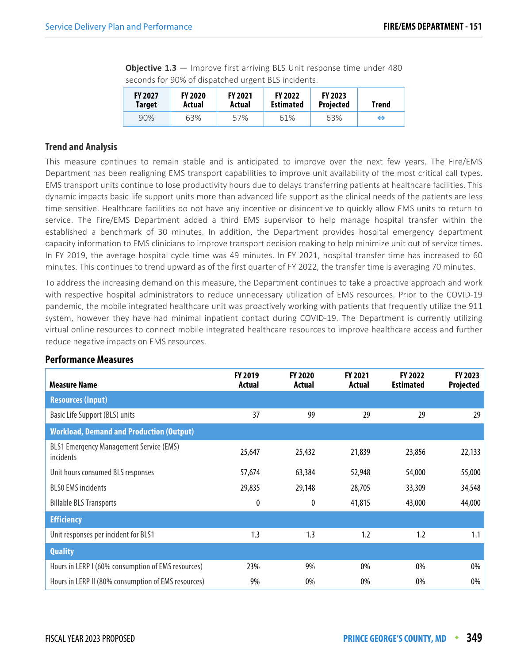**Objective 1.3** – Improve first arriving BLS Unit response time under 480 seconds for 90% of dispatched urgent BLS incidents.

| <b>FY 2027</b> | <b>FY 2020</b> | <b>FY 2021</b> | <b>FY 2022</b>   | <b>FY 2023</b>   | Trend |
|----------------|----------------|----------------|------------------|------------------|-------|
| Target         | Actual         | Actual         | <b>Estimated</b> | <b>Projected</b> |       |
| 90%            | 63%            | 57%            | 61%              | 63%              | ⇔     |

#### **Trend and Analysis**

This measure continues to remain stable and is anticipated to improve over the next few years. The Fire/EMS Department has been realigning EMS transport capabilities to improve unit availability of the most critical call types. EMS transport units continue to lose productivity hours due to delays transferring patients at healthcare facilities. This dynamic impacts basic life support units more than advanced life support as the clinical needs of the patients are less time sensitive. Healthcare facilities do not have any incentive or disincentive to quickly allow EMS units to return to service. The Fire/EMS Department added a third EMS supervisor to help manage hospital transfer within the established a benchmark of 30 minutes. In addition, the Department provides hospital emergency department capacity information to EMS clinicians to improve transport decision making to help minimize unit out of service times. In FY 2019, the average hospital cycle time was 49 minutes. In FY 2021, hospital transfer time has increased to 60 minutes. This continues to trend upward as of the first quarter of FY 2022, the transfer time is averaging 70 minutes.

To address the increasing demand on this measure, the Department continues to take a proactive approach and work with respective hospital administrators to reduce unnecessary utilization of EMS resources. Prior to the COVID-19 pandemic, the mobile integrated healthcare unit was proactively working with patients that frequently utilize the 911 system, however they have had minimal inpatient contact during COVID-19. The Department is currently utilizing virtual online resources to connect mobile integrated healthcare resources to improve healthcare access and further reduce negative impacts on EMS resources.

| <b>Measure Name</b>                                         | <b>FY 2019</b><br>Actual | <b>FY 2020</b><br><b>Actual</b> | <b>FY 2021</b><br>Actual | <b>FY 2022</b><br><b>Estimated</b> | FY 2023<br>Projected |
|-------------------------------------------------------------|--------------------------|---------------------------------|--------------------------|------------------------------------|----------------------|
| <b>Resources (Input)</b>                                    |                          |                                 |                          |                                    |                      |
| Basic Life Support (BLS) units                              | 37                       | 99                              | 29                       | 29                                 | 29                   |
| <b>Workload, Demand and Production (Output)</b>             |                          |                                 |                          |                                    |                      |
| <b>BLS1 Emergency Management Service (EMS)</b><br>incidents | 25,647                   | 25,432                          | 21,839                   | 23,856                             | 22,133               |
| Unit hours consumed BLS responses                           | 57,674                   | 63,384                          | 52,948                   | 54,000                             | 55,000               |
| <b>BLSO EMS incidents</b>                                   | 29,835                   | 29,148                          | 28,705                   | 33,309                             | 34,548               |
| <b>Billable BLS Transports</b>                              | 0                        | 0                               | 41,815                   | 43,000                             | 44,000               |
| <b>Efficiency</b>                                           |                          |                                 |                          |                                    |                      |
| Unit responses per incident for BLS1                        | 1.3                      | 1.3                             | 1.2                      | 1.2                                | 1.1                  |
| <b>Quality</b>                                              |                          |                                 |                          |                                    |                      |
| Hours in LERP I (60% consumption of EMS resources)          | 23%                      | 9%                              | $0\%$                    | $0\%$                              | 0%                   |
| Hours in LERP II (80% consumption of EMS resources)         | 9%                       | 0%                              | 0%                       | 0%                                 | 0%                   |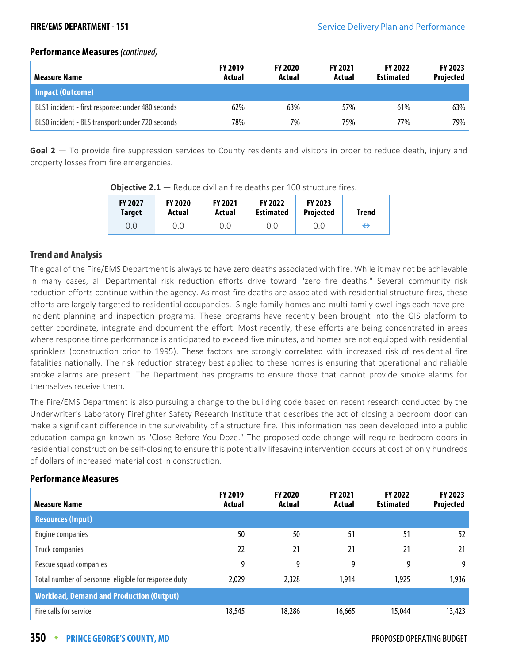#### **Performance Measures** (continued)

| <b>Measure Name</b>                               | <b>FY 2019</b><br>Actual | <b>FY 2020</b><br>Actual | <b>FY 2021</b><br>Actual | <b>FY 2022</b><br><b>Estimated</b> | <b>FY 2023</b><br>Projected |
|---------------------------------------------------|--------------------------|--------------------------|--------------------------|------------------------------------|-----------------------------|
| Impact (Outcome)                                  |                          |                          |                          |                                    |                             |
| BLS1 incident - first response: under 480 seconds | 62%                      | 63%                      | 57%                      | 61%                                | 63%                         |
| BLS0 incident - BLS transport: under 720 seconds  | 78%                      | 7%                       | 75%                      | 77%                                | 79%                         |

**Goal 2** — To provide fire suppression services to County residents and visitors in order to reduce death, injury and property losses from fire emergencies.

| <b>FY 2027</b> | <b>FY 2020</b> | <b>FY 2021</b> | <b>FY 2022</b>   | <b>FY 2023</b>   | Trend |
|----------------|----------------|----------------|------------------|------------------|-------|
| <b>Target</b>  | Actual         | Actual         | <b>Estimated</b> | <b>Projected</b> |       |
| 0.0            | 0.0            | 0.0            | 0.0              | 0.0              | ⊖     |

**Objective 2.1** – Reduce civilian fire deaths per 100 structure fires.

#### **Trend and Analysis**

The goal of the Fire/EMS Department is always to have zero deaths associated with fire. While it may not be achievable in many cases, all Departmental risk reduction efforts drive toward "zero fire deaths." Several community risk reduction efforts continue within the agency. As most fire deaths are associated with residential structure fires, these efforts are largely targeted to residential occupancies. Single family homes and multi-family dwellings each have preincident planning and inspection programs. These programs have recently been brought into the GIS platform to better coordinate, integrate and document the effort. Most recently, these efforts are being concentrated in areas where response time performance is anticipated to exceed five minutes, and homes are not equipped with residential sprinklers (construction prior to 1995). These factors are strongly correlated with increased risk of residential fire fatalities nationally. The risk reduction strategy best applied to these homes is ensuring that operational and reliable smoke alarms are present. The Department has programs to ensure those that cannot provide smoke alarms for themselves receive them.

The Fire/EMS Department is also pursuing a change to the building code based on recent research conducted by the Underwriter's Laboratory Firefighter Safety Research Institute that describes the act of closing a bedroom door can make a significant difference in the survivability of a structure fire. This information has been developed into a public education campaign known as "Close Before You Doze." The proposed code change will require bedroom doors in residential construction be self-closing to ensure this potentially lifesaving intervention occurs at cost of only hundreds of dollars of increased material cost in construction.

| <b>Measure Name</b>                                  | <b>FY 2019</b><br>Actual | <b>FY 2020</b><br>Actual | <b>FY 2021</b><br>Actual | <b>FY 2022</b><br><b>Estimated</b> | <b>FY 2023</b><br>Projected |
|------------------------------------------------------|--------------------------|--------------------------|--------------------------|------------------------------------|-----------------------------|
| <b>Resources (Input)</b>                             |                          |                          |                          |                                    |                             |
| Engine companies                                     | 50                       | 50                       | 51                       | 51                                 | 52                          |
| Truck companies                                      | 22                       | 21                       | 21                       | 21                                 | 21                          |
| Rescue squad companies                               | 9                        | 9                        | 9                        | 9                                  | 9 <sup>1</sup>              |
| Total number of personnel eligible for response duty | 2,029                    | 2,328                    | 1,914                    | 1,925                              | 1,936                       |
| <b>Workload, Demand and Production (Output)</b>      |                          |                          |                          |                                    |                             |
| Fire calls for service                               | 18,545                   | 18,286                   | 16,665                   | 15,044                             | 13,423                      |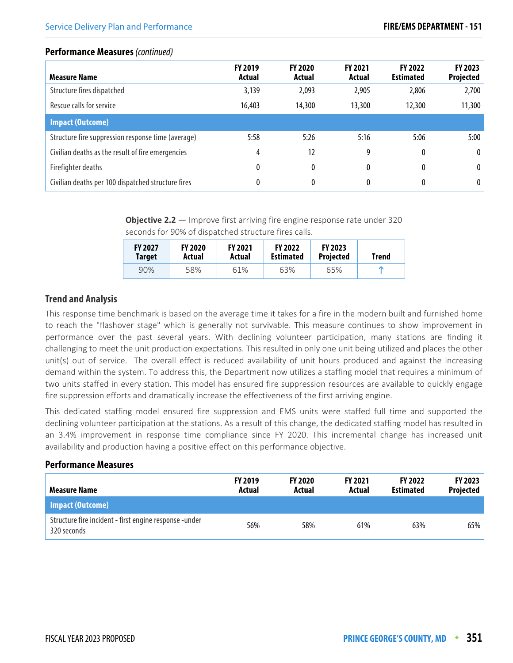#### **Performance Measures** (continued)

| <b>Measure Name</b>                                | <b>FY 2019</b><br>Actual | <b>FY 2020</b><br>Actual | <b>FY 2021</b><br>Actual | <b>FY 2022</b><br><b>Estimated</b> | FY 2023<br>Projected |
|----------------------------------------------------|--------------------------|--------------------------|--------------------------|------------------------------------|----------------------|
| Structure fires dispatched                         | 3,139                    | 2,093                    | 2,905                    | 2,806                              | 2,700                |
| Rescue calls for service                           | 16,403                   | 14,300                   | 13,300                   | 12,300                             | 11,300               |
| <b>Impact (Outcome)</b>                            |                          |                          |                          |                                    |                      |
| Structure fire suppression response time (average) | 5:58                     | 5:26                     | 5:16                     | 5:06                               | 5:00                 |
| Civilian deaths as the result of fire emergencies  | 4                        | 12                       | 9                        | 0                                  | $\bf{0}$             |
| Firefighter deaths                                 | 0                        | 0                        | 0                        |                                    | $\bf{0}$             |
| Civilian deaths per 100 dispatched structure fires | 0                        | 0                        | 0                        |                                    | 0                    |

**Objective 2.2** – Improve first arriving fire engine response rate under 320 seconds for 90% of dispatched structure fires calls.

| <b>FY 2027</b> | <b>FY 2020</b> | <b>FY 2021</b> | <b>FY 2022</b>   | <b>FY 2023</b>   | Trend |
|----------------|----------------|----------------|------------------|------------------|-------|
| Target         | Actual         | Actual         | <b>Estimated</b> | <b>Projected</b> |       |
| 90%            | 58%            | 61%            | 63%              | 65%              |       |

#### **Trend and Analysis**

This response time benchmark is based on the average time it takes for a fire in the modern built and furnished home to reach the "flashover stage" which is generally not survivable. This measure continues to show improvement in performance over the past several years. With declining volunteer participation, many stations are finding it challenging to meet the unit production expectations. This resulted in only one unit being utilized and places the other unit(s) out of service. The overall effect is reduced availability of unit hours produced and against the increasing demand within the system. To address this, the Department now utilizes a staffing model that requires a minimum of two units staffed in every station. This model has ensured fire suppression resources are available to quickly engage fire suppression efforts and dramatically increase the effectiveness of the first arriving engine.

This dedicated staffing model ensured fire suppression and EMS units were staffed full time and supported the declining volunteer participation at the stations. As a result of this change, the dedicated staffing model has resulted in an 3.4% improvement in response time compliance since FY 2020. This incremental change has increased unit availability and production having a positive effect on this performance objective.

| Measure Name                                                          | <b>FY 2019</b><br>Actual | <b>FY 2020</b><br>Actual | <b>FY 2021</b><br>Actual | <b>FY 2022</b><br><b>Estimated</b> | <b>FY 2023</b><br>Projected |
|-----------------------------------------------------------------------|--------------------------|--------------------------|--------------------------|------------------------------------|-----------------------------|
| Impact (Outcome)                                                      |                          |                          |                          |                                    |                             |
| Structure fire incident - first engine response -under<br>320 seconds | 56%                      | 58%                      | 61%                      | 63%                                | 65%                         |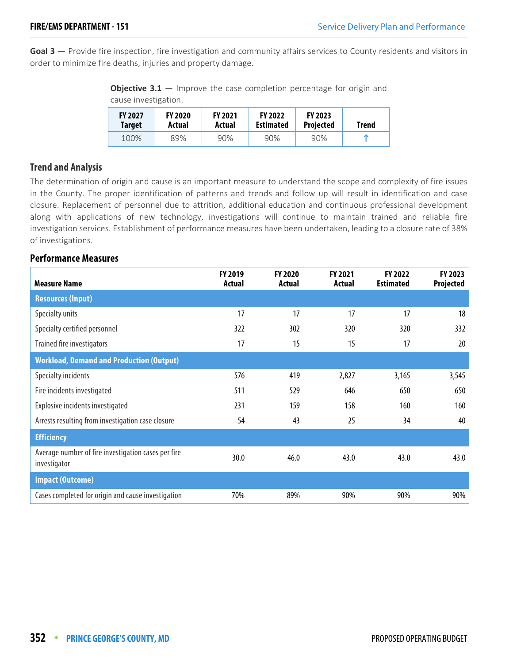**Goal 3** — Provide fire inspection, fire investigation and community affairs services to County residents and visitors in order to minimize fire deaths, injuries and property damage.

**Objective 3.1** – Improve the case completion percentage for origin and cause investigation.

| <b>FY 2027</b> | <b>FY 2020</b> | <b>FY 2021</b> | <b>FY 2022</b>   | <b>FY 2023</b>   | Trend |
|----------------|----------------|----------------|------------------|------------------|-------|
| <b>Target</b>  | Actual         | Actual         | <b>Estimated</b> | <b>Projected</b> |       |
| 100%           | 89%            | 90%            | 90%              | 90%              | m     |

#### **Trend and Analysis**

The determination of origin and cause is an important measure to understand the scope and complexity of fire issues in the County. The proper identification of patterns and trends and follow up will result in identification and case closure. Replacement of personnel due to attrition, additional education and continuous professional development along with applications of new technology, investigations will continue to maintain trained and reliable fire investigation services. Establishment of performance measures have been undertaken, leading to a closure rate of 38% of investigations.

| <b>Measure Name</b>                                                 | FY 2019<br>Actual | <b>FY 2020</b><br>Actual | <b>FY 2021</b><br>Actual | <b>FY 2022</b><br><b>Estimated</b> | FY 2023<br>Projected |
|---------------------------------------------------------------------|-------------------|--------------------------|--------------------------|------------------------------------|----------------------|
| <b>Resources (Input)</b>                                            |                   |                          |                          |                                    |                      |
| Specialty units                                                     | 17                | 17                       | 17                       | 17                                 | 18                   |
| Specialty certified personnel                                       | 322               | 302                      | 320                      | 320                                | 332                  |
| Trained fire investigators                                          | 17                | 15                       | 15                       | 17                                 | 20                   |
| <b>Workload, Demand and Production (Output)</b>                     |                   |                          |                          |                                    |                      |
| Specialty incidents                                                 | 576               | 419                      | 2,827                    | 3,165                              | 3,545                |
| Fire incidents investigated                                         | 511               | 529                      | 646                      | 650                                | 650                  |
| Explosive incidents investigated                                    | 231               | 159                      | 158                      | 160                                | 160                  |
| Arrests resulting from investigation case closure                   | 54                | 43                       | 25                       | 34                                 | 40                   |
| <b>Efficiency</b>                                                   |                   |                          |                          |                                    |                      |
| Average number of fire investigation cases per fire<br>investigator | 30.0              | 46.0                     | 43.0                     | 43.0                               | 43.0                 |
| <b>Impact (Outcome)</b>                                             |                   |                          |                          |                                    |                      |
| Cases completed for origin and cause investigation                  | 70%               | 89%                      | 90%                      | 90%                                | 90%                  |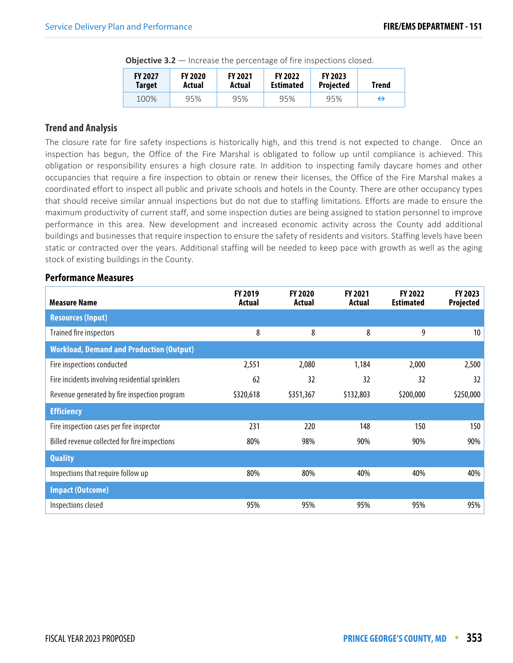| $        -$                     |                          |                          |                                    |                                    |       |  |  |  |
|---------------------------------|--------------------------|--------------------------|------------------------------------|------------------------------------|-------|--|--|--|
| <b>FY 2027</b><br><b>Target</b> | <b>FY 2020</b><br>Actual | <b>FY 2021</b><br>Actual | <b>FY 2022</b><br><b>Estimated</b> | <b>FY 2023</b><br><b>Projected</b> | Trend |  |  |  |
| 100%                            | 95%                      | 95%                      | 95%                                | 95%                                | ⇔     |  |  |  |

**Objective 3.2** — Increase the percentage of fire inspections closed.

#### **Trend and Analysis**

The closure rate for fire safety inspections is historically high, and this trend is not expected to change. Once an inspection has begun, the Office of the Fire Marshal is obligated to follow up until compliance is achieved. This obligation or responsibility ensures a high closure rate. In addition to inspecting family daycare homes and other occupancies that require a fire inspection to obtain or renew their licenses, the Office of the Fire Marshal makes a coordinated effort to inspect all public and private schools and hotels in the County. There are other occupancy types that should receive similar annual inspections but do not due to staffing limitations. Efforts are made to ensure the maximum productivity of current staff, and some inspection duties are being assigned to station personnel to improve performance in this area. New development and increased economic activity across the County add additional buildings and businesses that require inspection to ensure the safety of residents and visitors. Staffing levels have been static or contracted over the years. Additional staffing will be needed to keep pace with growth as well as the aging stock of existing buildings in the County.

| <b>Measure Name</b>                             | FY 2019<br>Actual | <b>FY 2020</b><br>Actual | <b>FY 2021</b><br>Actual | FY 2022<br><b>Estimated</b> | FY 2023<br>Projected |
|-------------------------------------------------|-------------------|--------------------------|--------------------------|-----------------------------|----------------------|
| <b>Resources (Input)</b>                        |                   |                          |                          |                             |                      |
| Trained fire inspectors                         | 8                 | 8                        | 8                        | 9                           | 10                   |
| <b>Workload, Demand and Production (Output)</b> |                   |                          |                          |                             |                      |
| Fire inspections conducted                      | 2,551             | 2,080                    | 1,184                    | 2,000                       | 2,500                |
| Fire incidents involving residential sprinklers | 62                | 32                       | 32                       | 32                          | 32                   |
| Revenue generated by fire inspection program    | \$320,618         | \$351,367                | \$132,803                | \$200,000                   | \$250,000            |
| <b>Efficiency</b>                               |                   |                          |                          |                             |                      |
| Fire inspection cases per fire inspector        | 231               | 220                      | 148                      | 150                         | 150                  |
| Billed revenue collected for fire inspections   | 80%               | 98%                      | 90%                      | 90%                         | 90%                  |
| <b>Quality</b>                                  |                   |                          |                          |                             |                      |
| Inspections that require follow up              | 80%               | 80%                      | 40%                      | 40%                         | 40%                  |
| <b>Impact (Outcome)</b>                         |                   |                          |                          |                             |                      |
| Inspections closed                              | 95%               | 95%                      | 95%                      | 95%                         | 95%                  |